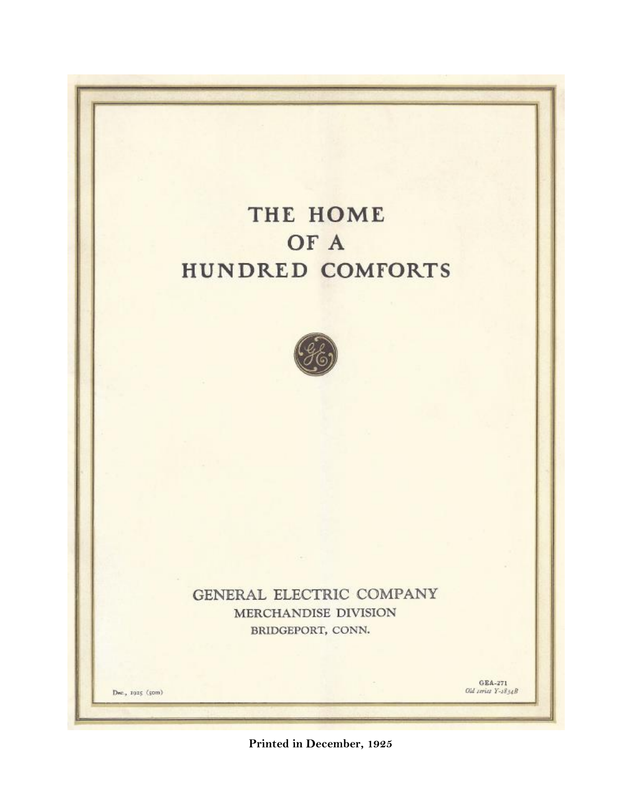# THE HOME OF A HUNDRED COMFORTS



GENERAL ELECTRIC COMPANY MERCHANDISE DIVISION BRIDGEPORT, CONN.

Dwe., 1925 (50m)

GEA-271 Old series Y-1834B

Printed in December, 1925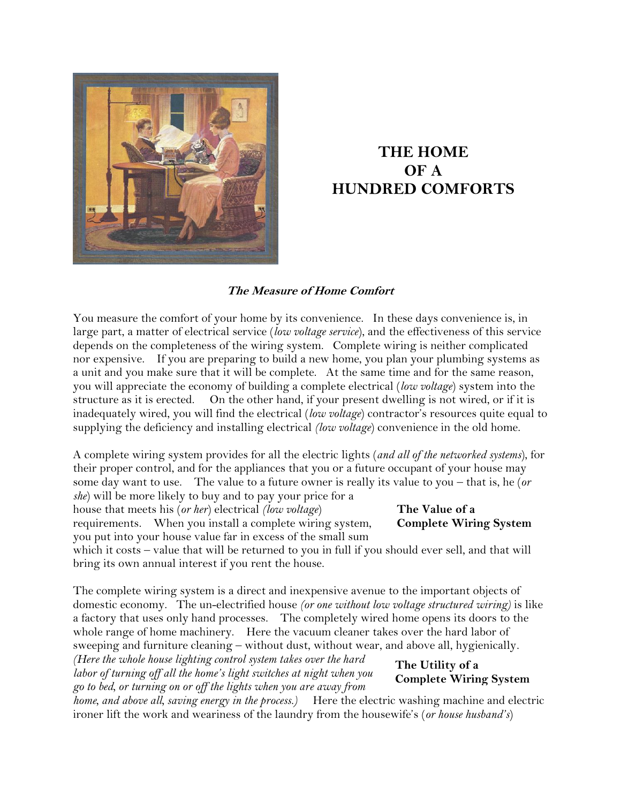

## **THE HOME OF A HUNDRED COMFORTS**

#### **The Measure of Home Comfort**

You measure the comfort of your home by its convenience. In these days convenience is, in large part, a matter of electrical service (*low voltage service*), and the effectiveness of this service depends on the completeness of the wiring system. Complete wiring is neither complicated nor expensive. If you are preparing to build a new home, you plan your plumbing systems as a unit and you make sure that it will be complete. At the same time and for the same reason, you will appreciate the economy of building a complete electrical (*low voltage*) system into the structure as it is erected. On the other hand, if your present dwelling is not wired, or if it is inadequately wired, you will find the electrical (*low voltage*) contractor's resources quite equal to supplying the deficiency and installing electrical *(low voltage*) convenience in the old home.

A complete wiring system provides for all the electric lights (*and all of the networked systems*), for their proper control, and for the appliances that you or a future occupant of your house may some day want to use. The value to a future owner is really its value to you – that is, he (*or she*) will be more likely to buy and to pay your price for a house that meets his (*or her*) electrical *(low voltage*)

requirements. When you install a complete wiring system, you put into your house value far in excess of the small sum

which it costs – value that will be returned to you in full if you should ever sell, and that will bring its own annual interest if you rent the house.

The complete wiring system is a direct and inexpensive avenue to the important objects of domestic economy. The un-electrified house *(or one without low voltage structured wiring)* is like a factory that uses only hand processes. The completely wired home opens its doors to the whole range of home machinery. Here the vacuum cleaner takes over the hard labor of sweeping and furniture cleaning – without dust, without wear, and above all, hygienically*.* 

*(Here the whole house lighting control system takes over the hard labor of turning off all the home's light switches at night when you go to bed, or turning on or off the lights when you are away from* 

**The Utility of a Complete Wiring System**

*home, and above all, saving energy in the process.)* Here the electric washing machine and electric ironer lift the work and weariness of the laundry from the housewife's (*or house husband's*)

### **The Value of a Complete Wiring System**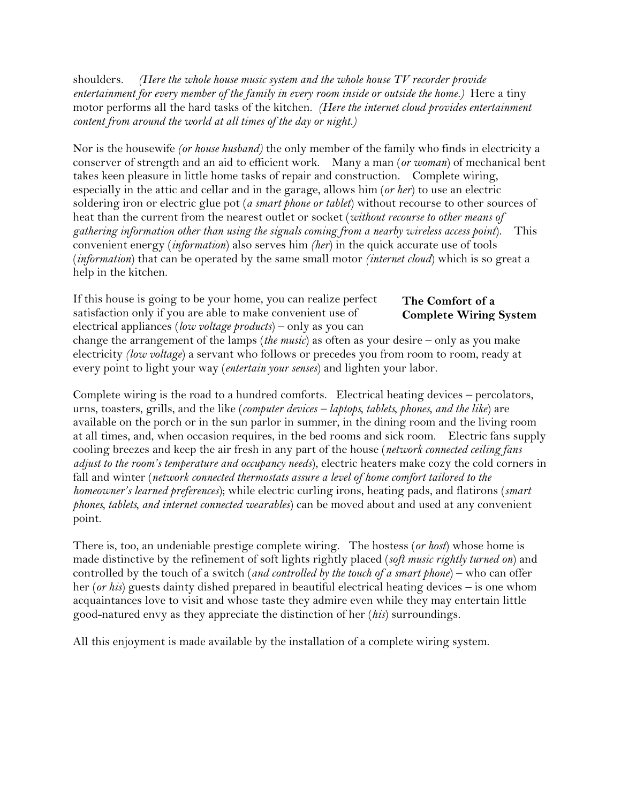shoulders. *(Here the whole house music system and the whole house TV recorder provide entertainment for every member of the family in every room inside or outside the home.)* Here a tiny motor performs all the hard tasks of the kitchen. *(Here the internet cloud provides entertainment content from around the world at all times of the day or night.)*

Nor is the housewife *(or house husband)* the only member of the family who finds in electricity a conserver of strength and an aid to efficient work. Many a man (*or woman*) of mechanical bent takes keen pleasure in little home tasks of repair and construction. Complete wiring, especially in the attic and cellar and in the garage, allows him (*or her*) to use an electric soldering iron or electric glue pot (*a smart phone or tablet*) without recourse to other sources of heat than the current from the nearest outlet or socket (*without recourse to other means of gathering information other than using the signals coming from a nearby wireless access point*). This convenient energy (*information*) also serves him *(her*) in the quick accurate use of tools (*information*) that can be operated by the same small motor *(internet cloud*) which is so great a help in the kitchen.

If this house is going to be your home, you can realize perfect satisfaction only if you are able to make convenient use of electrical appliances (*low voltage products*) – only as you can

#### **The Comfort of a Complete Wiring System**

change the arrangement of the lamps (*the music*) as often as your desire – only as you make electricity *(low voltage*) a servant who follows or precedes you from room to room, ready at every point to light your way (*entertain your senses*) and lighten your labor.

Complete wiring is the road to a hundred comforts. Electrical heating devices – percolators, urns, toasters, grills, and the like (*computer devices – laptops, tablets, phones, and the like*) are available on the porch or in the sun parlor in summer, in the dining room and the living room at all times, and, when occasion requires, in the bed rooms and sick room. Electric fans supply cooling breezes and keep the air fresh in any part of the house (*network connected ceiling fans adjust to the room's temperature and occupancy needs*), electric heaters make cozy the cold corners in fall and winter (*network connected thermostats assure a level of home comfort tailored to the homeowner's learned preferences*); while electric curling irons, heating pads, and flatirons (*smart phones, tablets, and internet connected wearables*) can be moved about and used at any convenient point.

There is, too, an undeniable prestige complete wiring. The hostess (*or host*) whose home is made distinctive by the refinement of soft lights rightly placed (*soft music rightly turned on*) and controlled by the touch of a switch (*and controlled by the touch of a smart phone*) – who can offer her (*or his*) guests dainty dished prepared in beautiful electrical heating devices – is one whom acquaintances love to visit and whose taste they admire even while they may entertain little good-natured envy as they appreciate the distinction of her (*his*) surroundings.

All this enjoyment is made available by the installation of a complete wiring system.